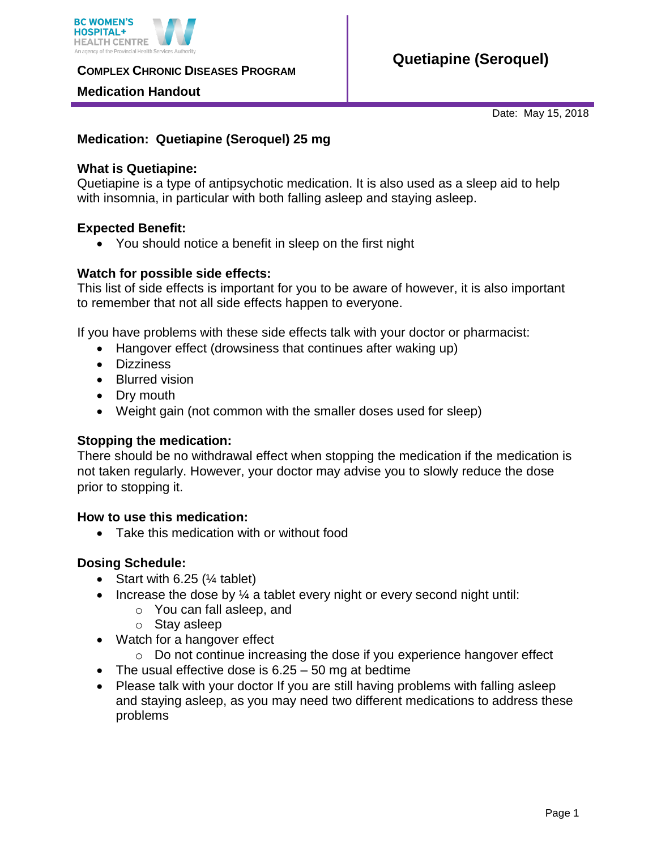

**COMPLEX CHRONIC DISEASES PROGRAM** 

## **Medication Handout**

Date: May 15, 2018

## **Medication: Quetiapine (Seroquel) 25 mg**

## **What is Quetiapine:**

Quetiapine is a type of antipsychotic medication. It is also used as a sleep aid to help with insomnia, in particular with both falling asleep and staying asleep.

## **Expected Benefit:**

• You should notice a benefit in sleep on the first night

## **Watch for possible side effects:**

This list of side effects is important for you to be aware of however, it is also important to remember that not all side effects happen to everyone.

If you have problems with these side effects talk with your doctor or pharmacist:

- Hangover effect (drowsiness that continues after waking up)
- Dizziness
- Blurred vision
- Dry mouth
- Weight gain (not common with the smaller doses used for sleep)

#### **Stopping the medication:**

There should be no withdrawal effect when stopping the medication if the medication is not taken regularly. However, your doctor may advise you to slowly reduce the dose prior to stopping it.

# **How to use this medication:**

• Take this medication with or without food

#### **Dosing Schedule:**

- Start with  $6.25$  ( $\frac{1}{4}$  tablet)
- Increase the dose by  $\frac{1}{4}$  a tablet every night or every second night until:
	- o You can fall asleep, and
	- o Stay asleep
- Watch for a hangover effect
	- o Do not continue increasing the dose if you experience hangover effect
- The usual effective dose is  $6.25 50$  mg at bedtime
- Please talk with your doctor If you are still having problems with falling asleep and staying asleep, as you may need two different medications to address these problems